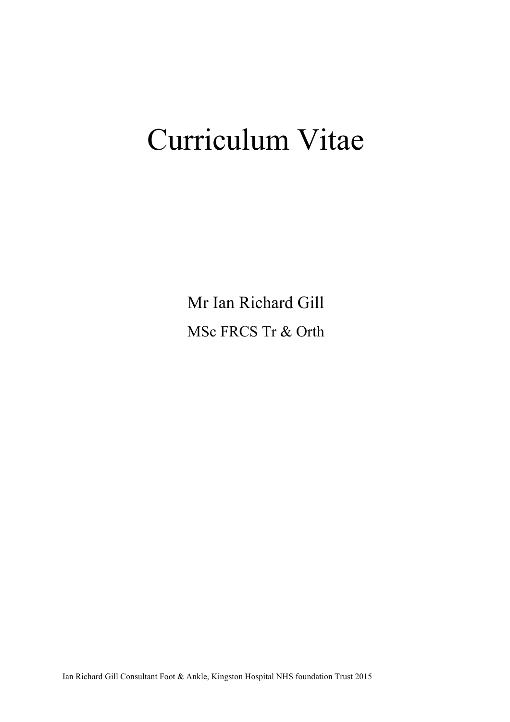# Curriculum Vitae

Mr Ian Richard Gill MSc FRCS Tr & Orth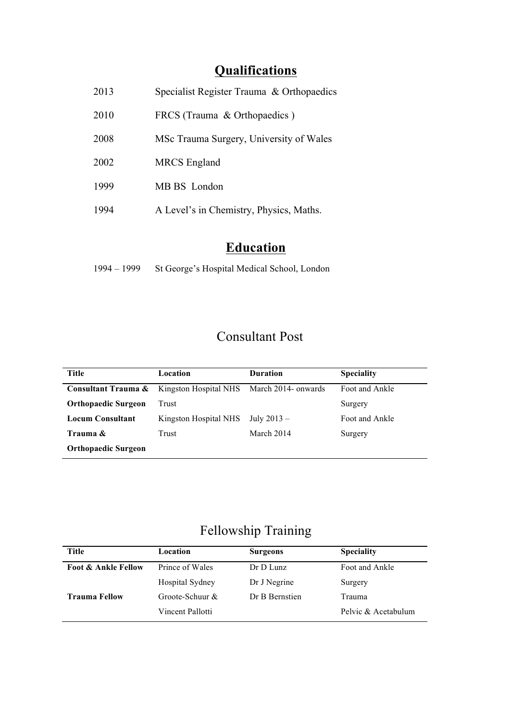# **Qualifications**

| 2013 | Specialist Register Trauma & Orthopaedics |
|------|-------------------------------------------|
| 2010 | FRCS (Trauma & Orthopaedics)              |
| 2008 | MSc Trauma Surgery, University of Wales   |
| 2002 | <b>MRCS</b> England                       |
| 1999 | MB BS London                              |
| 1994 | A Level's in Chemistry, Physics, Maths.   |
|      |                                           |

# **Education**

| $1994 - 1999$ | St George's Hospital Medical School, London |  |
|---------------|---------------------------------------------|--|
|               |                                             |  |

# Consultant Post

| Title                      | Location              | <b>Duration</b>     | <b>Speciality</b> |
|----------------------------|-----------------------|---------------------|-------------------|
| Consultant Trauma &        | Kingston Hospital NHS | March 2014- onwards | Foot and Ankle    |
| <b>Orthopaedic Surgeon</b> | Trust                 |                     | Surgery           |
| <b>Locum Consultant</b>    | Kingston Hospital NHS | July $2013 -$       | Foot and Ankle    |
| Trauma &                   | Trust                 | March 2014          | Surgery           |
| <b>Orthopaedic Surgeon</b> |                       |                     |                   |

# Fellowship Training

| Title                          | Location         | <b>Surgeons</b> | <b>Speciality</b>   |
|--------------------------------|------------------|-----------------|---------------------|
| <b>Foot &amp; Ankle Fellow</b> | Prince of Wales  | $Dr D L$ unz    | Foot and Ankle      |
|                                | Hospital Sydney  | Dr J Negrine    | Surgery             |
| <b>Trauma Fellow</b>           | Groote-Schuur &  | Dr B Bernstien  | Trauma              |
|                                | Vincent Pallotti |                 | Pelvic & Acetabulum |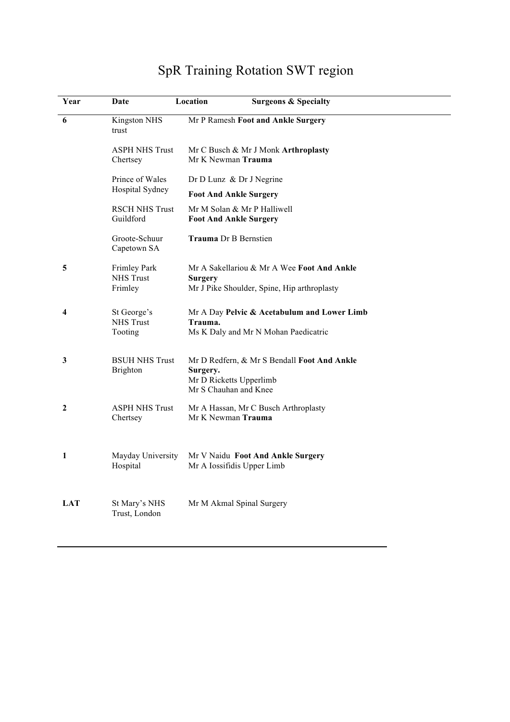# SpR Training Rotation SWT region

| Year | Date                               | Location                                                     | <b>Surgeons &amp; Specialty</b>             |
|------|------------------------------------|--------------------------------------------------------------|---------------------------------------------|
| 6    | <b>Kingston NHS</b><br>trust       |                                                              | Mr P Ramesh Foot and Ankle Surgery          |
|      | <b>ASPH NHS Trust</b><br>Chertsey  | Mr K Newman Trauma                                           | Mr C Busch & Mr J Monk Arthroplasty         |
|      | Prince of Wales<br>Hospital Sydney | Dr D Lunz & Dr J Negrine                                     |                                             |
|      |                                    | <b>Foot And Ankle Surgery</b>                                |                                             |
|      | <b>RSCH NHS Trust</b><br>Guildford | Mr M Solan & Mr P Halliwell<br><b>Foot And Ankle Surgery</b> |                                             |
|      | Groote-Schuur<br>Capetown SA       | <b>Trauma</b> Dr B Bernstien                                 |                                             |
| 5    | <b>Frimley Park</b>                |                                                              | Mr A Sakellariou & Mr A Wee Foot And Ankle  |
|      | <b>NHS Trust</b><br>Frimley        | <b>Surgery</b>                                               | Mr J Pike Shoulder, Spine, Hip arthroplasty |
| 4    | St George's                        |                                                              | Mr A Day Pelvic & Acetabulum and Lower Limb |
|      | <b>NHS Trust</b><br>Tooting        | Trauma.                                                      | Ms K Daly and Mr N Mohan Paedicatric        |
| 3    | <b>BSUH NHS Trust</b>              |                                                              | Mr D Redfern, & Mr S Bendall Foot And Ankle |
|      | Brighton                           | Surgery.<br>Mr D Ricketts Upperlimb                          |                                             |
|      |                                    | Mr S Chauhan and Knee                                        |                                             |
| 2    | <b>ASPH NHS Trust</b><br>Chertsey  | Mr K Newman Trauma                                           | Mr A Hassan, Mr C Busch Arthroplasty        |
|      |                                    |                                                              |                                             |
| 1    | Mayday University                  |                                                              | Mr V Naidu Foot And Ankle Surgery           |
|      | Hospital                           | Mr A Iossifidis Upper Limb                                   |                                             |
| LAT  | St Mary's NHS                      | Mr M Akmal Spinal Surgery                                    |                                             |
|      | Trust, London                      |                                                              |                                             |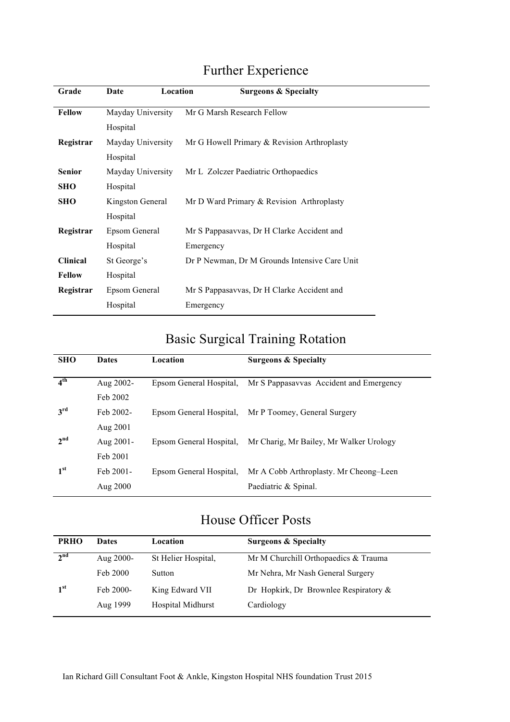# Further Experience

| Grade           | Location<br>Date  | <b>Surgeons &amp; Specialty</b>               |
|-----------------|-------------------|-----------------------------------------------|
| <b>Fellow</b>   | Mayday University | Mr G Marsh Research Fellow                    |
|                 | Hospital          |                                               |
| Registrar       | Mayday University | Mr G Howell Primary & Revision Arthroplasty   |
|                 | Hospital          |                                               |
| <b>Senior</b>   | Mayday University | Mr L Zolczer Paediatric Orthopaedics          |
| <b>SHO</b>      | Hospital          |                                               |
| <b>SHO</b>      | Kingston General  | Mr D Ward Primary & Revision Arthroplasty     |
|                 | Hospital          |                                               |
| Registrar       | Epsom General     | Mr S Pappasavvas, Dr H Clarke Accident and    |
|                 | Hospital          | Emergency                                     |
| <b>Clinical</b> | St George's       | Dr P Newman, Dr M Grounds Intensive Care Unit |
| <b>Fellow</b>   | Hospital          |                                               |
| Registrar       | Epsom General     | Mr S Pappasavvas, Dr H Clarke Accident and    |
|                 | Hospital          | Emergency                                     |

# Basic Surgical Training Rotation

| <b>SHO</b>      | <b>Dates</b> | Location                | <b>Surgeons &amp; Specialty</b>         |
|-----------------|--------------|-------------------------|-----------------------------------------|
|                 |              |                         |                                         |
| 4 <sup>th</sup> | Aug 2002-    | Epsom General Hospital. | Mr S Pappasayyas Accident and Emergency |
|                 | Feb 2002     |                         |                                         |
| 3 <sup>rd</sup> | Feb 2002-    | Epsom General Hospital. | Mr P Toomey, General Surgery            |
|                 | Aug 2001     |                         |                                         |
| 2 <sup>nd</sup> | Aug 2001-    | Epsom General Hospital. | Mr Charig, Mr Bailey, Mr Walker Urology |
|                 | Feb 2001     |                         |                                         |
| 1 <sup>st</sup> | Feb 2001-    | Epsom General Hospital. | Mr A Cobb Arthroplasty. Mr Cheong–Leen  |
|                 | Aug 2000     |                         | Paediatric & Spinal.                    |
|                 |              |                         |                                         |

## House Officer Posts

| <b>PRHO</b>     | <b>Dates</b>          | Location                             | <b>Surgeons &amp; Specialty</b>                        |
|-----------------|-----------------------|--------------------------------------|--------------------------------------------------------|
| 2 <sup>nd</sup> | Aug 2000-             | St Helier Hospital,                  | Mr M Churchill Orthopaedics & Trauma                   |
|                 | Feb 2000              | Sutton                               | Mr Nehra, Mr Nash General Surgery                      |
| 1 <sup>st</sup> | Feb 2000-<br>Aug 1999 | King Edward VII<br>Hospital Midhurst | Dr Hopkirk, Dr Brownlee Respiratory $\&$<br>Cardiology |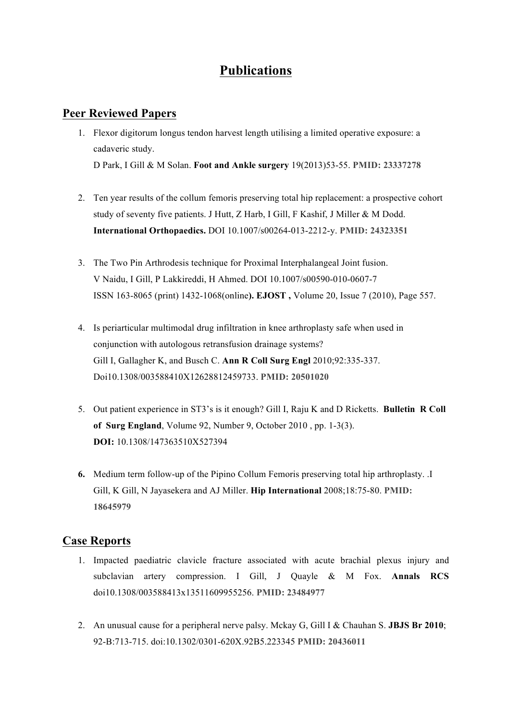#### **Publications**

#### **Peer Reviewed Papers**

- 1. Flexor digitorum longus tendon harvest length utilising a limited operative exposure: a cadaveric study. D Park, I Gill & M Solan. **Foot and Ankle surgery** 19(2013)53-55. **PMID: 23337278**
- 2. Ten year results of the collum femoris preserving total hip replacement: a prospective cohort study of seventy five patients. J Hutt, Z Harb, I Gill, F Kashif, J Miller & M Dodd. **International Orthopaedics.** DOI 10.1007/s00264-013-2212-y. **PMID: 24323351**
- 3. The Two Pin Arthrodesis technique for Proximal Interphalangeal Joint fusion. V Naidu, I Gill, P Lakkireddi, H Ahmed. DOI 10.1007/s00590-010-0607-7 ISSN 163-8065 (print) 1432-1068(online**). EJOST ,** Volume 20, Issue 7 (2010), Page 557.
- 4. Is periarticular multimodal drug infiltration in knee arthroplasty safe when used in conjunction with autologous retransfusion drainage systems? Gill I, Gallagher K, and Busch C. **Ann R Coll Surg Engl** 2010;92:335-337. Doi10.1308/003588410X12628812459733. **PMID: 20501020**
- 5. Out patient experience in ST3's is it enough? Gill I, Raju K and D Ricketts. **Bulletin R Coll of Surg England**, Volume 92, Number 9, October 2010 , pp. 1-3(3). **DOI:** 10.1308/147363510X527394
- **6.** Medium term follow-up of the Pipino Collum Femoris preserving total hip arthroplasty. .I Gill, K Gill, N Jayasekera and AJ Miller. **Hip International** 2008;18:75-80. **PMID: 18645979**

#### **Case Reports**

- 1. Impacted paediatric clavicle fracture associated with acute brachial plexus injury and subclavian artery compression. I Gill, J Quayle & M Fox. **Annals RCS** doi10.1308/003588413x13511609955256. **PMID: 23484977**
- 2. An unusual cause for a peripheral nerve palsy. Mckay G, Gill I & Chauhan S. **JBJS Br 2010**; 92-B:713-715. doi:10.1302/0301-620X.92B5.223345 **PMID: 20436011**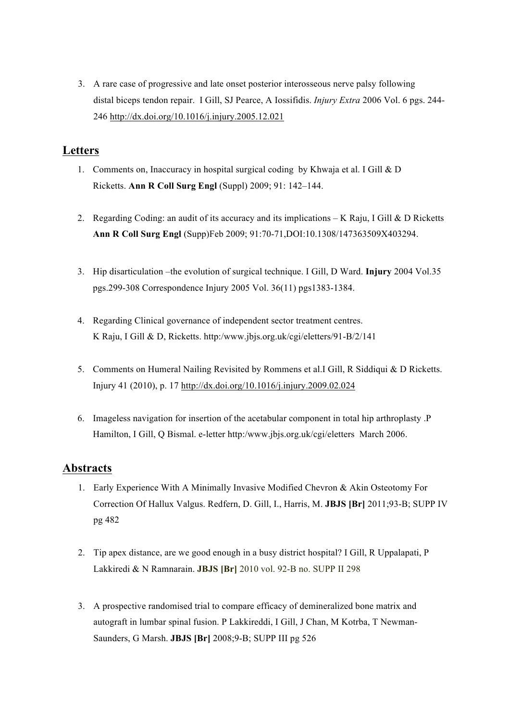3. A rare case of progressive and late onset posterior interosseous nerve palsy following distal biceps tendon repair. I Gill, SJ Pearce, A Iossifidis. *Injury Extra* 2006 Vol. 6 pgs. 244- 246 http://dx.doi.org/10.1016/j.injury.2005.12.021

#### **Letters**

- 1. Comments on, Inaccuracy in hospital surgical coding by Khwaja et al. I Gill & D Ricketts. **Ann R Coll Surg Engl** (Suppl) 2009; 91: 142–144.
- 2. Regarding Coding: an audit of its accuracy and its implications K Raju, I Gill & D Ricketts **Ann R Coll Surg Engl** (Supp)Feb 2009; 91:70-71,DOI:10.1308/147363509X403294.
- 3. Hip disarticulation –the evolution of surgical technique. I Gill, D Ward. **Injury** 2004 Vol.35 pgs.299-308 Correspondence Injury 2005 Vol. 36(11) pgs1383-1384.
- 4. Regarding Clinical governance of independent sector treatment centres. K Raju, I Gill & D, Ricketts. http:/www.jbjs.org.uk/cgi/eletters/91-B/2/141
- 5. Comments on Humeral Nailing Revisited by Rommens et al.I Gill, R Siddiqui & D Ricketts. Injury 41 (2010), p. 17 http://dx.doi.org/10.1016/j.injury.2009.02.024
- 6. Imageless navigation for insertion of the acetabular component in total hip arthroplasty .P Hamilton, I Gill, Q Bismal. e-letter http:/www.jbjs.org.uk/cgi/eletters March 2006.

#### **Abstracts**

- 1. Early Experience With A Minimally Invasive Modified Chevron & Akin Osteotomy For Correction Of Hallux Valgus. Redfern, D. Gill, I., Harris, M. **JBJS [Br]** 2011;93-B; SUPP IV pg 482
- 2. Tip apex distance, are we good enough in a busy district hospital? I Gill, R Uppalapati, P Lakkiredi & N Ramnarain. **JBJS [Br]** 2010 vol. 92-B no. SUPP II 298
- 3. A prospective randomised trial to compare efficacy of demineralized bone matrix and autograft in lumbar spinal fusion. P Lakkireddi, I Gill, J Chan, M Kotrba, T Newman-Saunders, G Marsh. **JBJS [Br]** 2008;9-B; SUPP III pg 526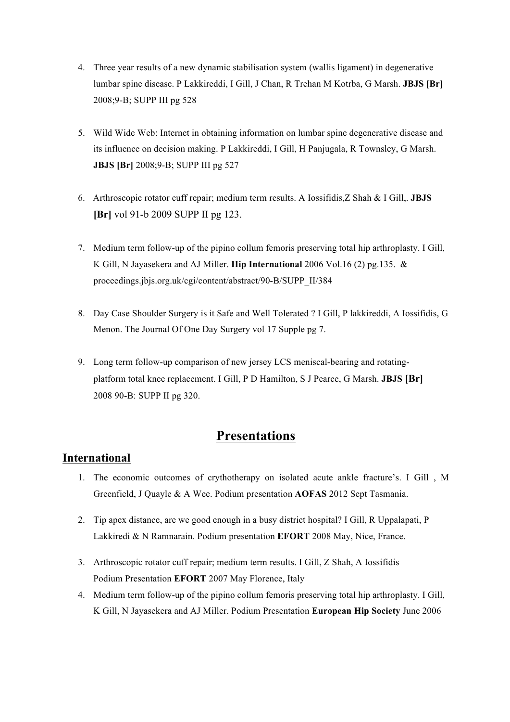- 4. Three year results of a new dynamic stabilisation system (wallis ligament) in degenerative lumbar spine disease. P Lakkireddi, I Gill, J Chan, R Trehan M Kotrba, G Marsh. **JBJS [Br]** 2008;9-B; SUPP III pg 528
- 5. Wild Wide Web: Internet in obtaining information on lumbar spine degenerative disease and its influence on decision making. P Lakkireddi, I Gill, H Panjugala, R Townsley, G Marsh. **JBJS [Br]** 2008;9-B; SUPP III pg 527
- 6. Arthroscopic rotator cuff repair; medium term results. A Iossifidis,Z Shah & I Gill,. **JBJS [Br]** vol 91-b 2009 SUPP II pg 123.
- 7. Medium term follow-up of the pipino collum femoris preserving total hip arthroplasty. I Gill, K Gill, N Jayasekera and AJ Miller. **Hip International** 2006 Vol.16 (2) pg.135. & proceedings.jbjs.org.uk/cgi/content/abstract/90-B/SUPP\_II/384
- 8. Day Case Shoulder Surgery is it Safe and Well Tolerated ? I Gill, P lakkireddi, A Iossifidis, G Menon. The Journal Of One Day Surgery vol 17 Supple pg 7.
- 9. Long term follow-up comparison of new jersey LCS meniscal-bearing and rotatingplatform total knee replacement. I Gill, P D Hamilton, S J Pearce, G Marsh. **JBJS [Br]** 2008 90-B: SUPP II pg 320.

#### **Presentations**

#### **International**

- 1. The economic outcomes of crythotherapy on isolated acute ankle fracture's. I Gill , M Greenfield, J Quayle & A Wee. Podium presentation **AOFAS** 2012 Sept Tasmania.
- 2. Tip apex distance, are we good enough in a busy district hospital? I Gill, R Uppalapati, P Lakkiredi & N Ramnarain. Podium presentation **EFORT** 2008 May, Nice, France.
- 3. Arthroscopic rotator cuff repair; medium term results. I Gill, Z Shah, A Iossifidis Podium Presentation **EFORT** 2007 May Florence, Italy
- 4. Medium term follow-up of the pipino collum femoris preserving total hip arthroplasty. I Gill, K Gill, N Jayasekera and AJ Miller. Podium Presentation **European Hip Society** June 2006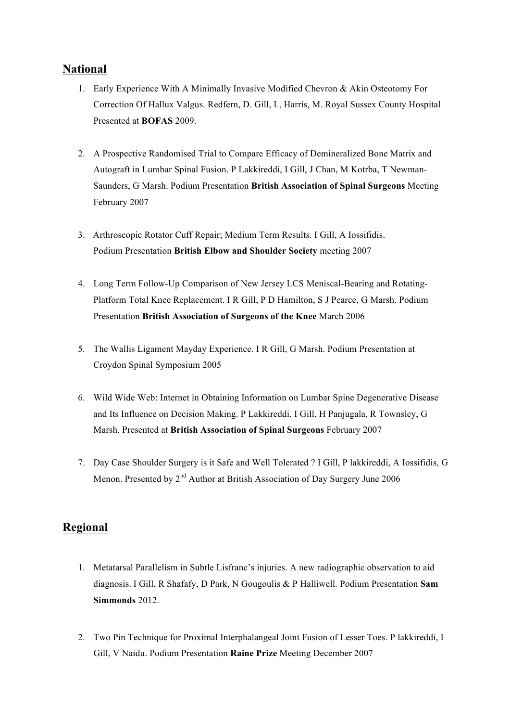#### **National**

- 1. Early Experience With A Minimally Invasive Modified Chevron & Akin Osteotomy For Correction Of Hallux Valgus. Redfern, D. Gill, I., Harris, M. Royal Sussex County Hospital Presented at **BOFAS** 2009.
- 2. A Prospective Randomised Trial to Compare Efficacy of Demineralized Bone Matrix and Autograft in Lumbar Spinal Fusion. P Lakkireddi, I Gill, J Chan, M Kotrba, T Newman-Saunders, G Marsh. Podium Presentation **British Association of Spinal Surgeons** Meeting February 2007
- 3. Arthroscopic Rotator Cuff Repair; Medium Term Results. I Gill, A Iossifidis. Podium Presentation **British Elbow and Shoulder Society** meeting 2007
- 4. Long Term Follow-Up Comparison of New Jersey LCS Meniscal-Bearing and Rotating-Platform Total Knee Replacement. I R Gill, P D Hamilton, S J Pearce, G Marsh. Podium Presentation **British Association of Surgeons of the Knee** March 2006
- 5. The Wallis Ligament Mayday Experience. I R Gill, G Marsh. Podium Presentation at Croydon Spinal Symposium 2005
- 6. Wild Wide Web: Internet in Obtaining Information on Lumbar Spine Degenerative Disease and Its Influence on Decision Making. P Lakkireddi, I Gill, H Panjugala, R Townsley, G Marsh. Presented at **British Association of Spinal Surgeons** February 2007
- 7. Day Case Shoulder Surgery is it Safe and Well Tolerated ? I Gill, P lakkireddi, A Iossifidis, G Menon. Presented by 2<sup>nd</sup> Author at British Association of Day Surgery June 2006

#### **Regional**

- 1. Metatarsal Parallelism in Subtle Lisfranc's injuries. A new radiographic observation to aid diagnosis. I Gill, R Shafafy, D Park, N Gougoulis & P Halliwell. Podium Presentation **Sam Simmonds** 2012.
- 2. Two Pin Technique for Proximal Interphalangeal Joint Fusion of Lesser Toes. P lakkireddi, I Gill, V Naidu. Podium Presentation **Raine Prize** Meeting December 2007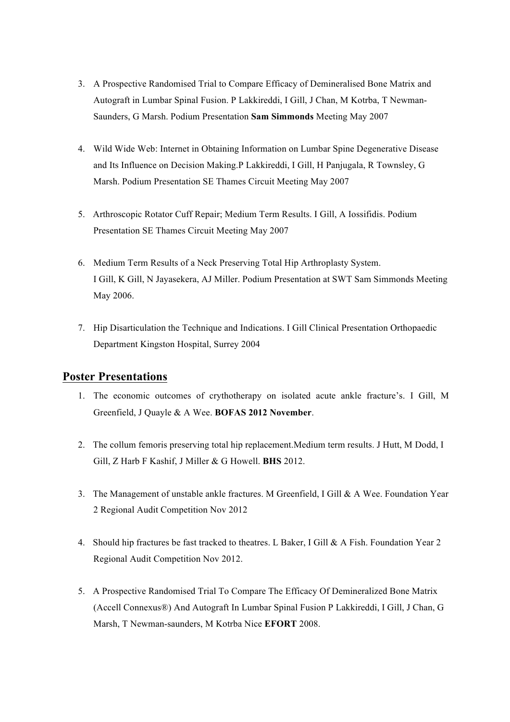- 3. A Prospective Randomised Trial to Compare Efficacy of Demineralised Bone Matrix and Autograft in Lumbar Spinal Fusion. P Lakkireddi, I Gill, J Chan, M Kotrba, T Newman-Saunders, G Marsh. Podium Presentation **Sam Simmonds** Meeting May 2007
- 4. Wild Wide Web: Internet in Obtaining Information on Lumbar Spine Degenerative Disease and Its Influence on Decision Making.P Lakkireddi, I Gill, H Panjugala, R Townsley, G Marsh. Podium Presentation SE Thames Circuit Meeting May 2007
- 5. Arthroscopic Rotator Cuff Repair; Medium Term Results. I Gill, A Iossifidis. Podium Presentation SE Thames Circuit Meeting May 2007
- 6. Medium Term Results of a Neck Preserving Total Hip Arthroplasty System. I Gill, K Gill, N Jayasekera, AJ Miller. Podium Presentation at SWT Sam Simmonds Meeting May 2006.
- 7. Hip Disarticulation the Technique and Indications. I Gill Clinical Presentation Orthopaedic Department Kingston Hospital, Surrey 2004

#### **Poster Presentations**

- 1. The economic outcomes of crythotherapy on isolated acute ankle fracture's. I Gill, M Greenfield, J Quayle & A Wee. **BOFAS 2012 November**.
- 2. The collum femoris preserving total hip replacement.Medium term results. J Hutt, M Dodd, I Gill, Z Harb F Kashif, J Miller & G Howell. **BHS** 2012.
- 3. The Management of unstable ankle fractures. M Greenfield, I Gill & A Wee. Foundation Year 2 Regional Audit Competition Nov 2012
- 4. Should hip fractures be fast tracked to theatres. L Baker, I Gill & A Fish. Foundation Year 2 Regional Audit Competition Nov 2012.
- 5. A Prospective Randomised Trial To Compare The Efficacy Of Demineralized Bone Matrix (Accell Connexus®) And Autograft In Lumbar Spinal Fusion P Lakkireddi, I Gill, J Chan, G Marsh, T Newman-saunders, M Kotrba Nice **EFORT** 2008.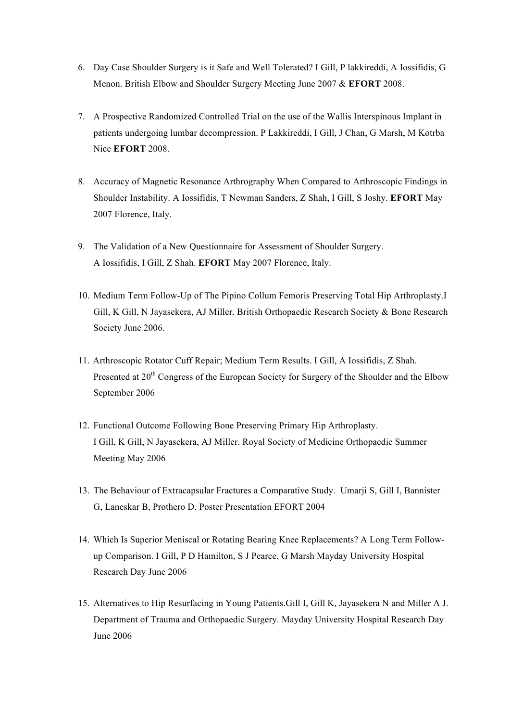- 6. Day Case Shoulder Surgery is it Safe and Well Tolerated? I Gill, P lakkireddi, A Iossifidis, G Menon. British Elbow and Shoulder Surgery Meeting June 2007 & **EFORT** 2008.
- 7. A Prospective Randomized Controlled Trial on the use of the Wallis Interspinous Implant in patients undergoing lumbar decompression. P Lakkireddi, I Gill, J Chan, G Marsh, M Kotrba Nice **EFORT** 2008.
- 8. Accuracy of Magnetic Resonance Arthrography When Compared to Arthroscopic Findings in Shoulder Instability. A Iossifidis, T Newman Sanders, Z Shah, I Gill, S Joshy. **EFORT** May 2007 Florence, Italy.
- 9. The Validation of a New Questionnaire for Assessment of Shoulder Surgery. A Iossifidis, I Gill, Z Shah. **EFORT** May 2007 Florence, Italy.
- 10. Medium Term Follow-Up of The Pipino Collum Femoris Preserving Total Hip Arthroplasty.I Gill, K Gill, N Jayasekera, AJ Miller. British Orthopaedic Research Society & Bone Research Society June 2006.
- 11. Arthroscopic Rotator Cuff Repair; Medium Term Results. I Gill, A Iossifidis, Z Shah. Presented at 20<sup>th</sup> Congress of the European Society for Surgery of the Shoulder and the Elbow September 2006
- 12. Functional Outcome Following Bone Preserving Primary Hip Arthroplasty. I Gill, K Gill, N Jayasekera, AJ Miller. Royal Society of Medicine Orthopaedic Summer Meeting May 2006
- 13. The Behaviour of Extracapsular Fractures a Comparative Study. Umarji S, Gill I, Bannister G, Laneskar B, Prothero D. Poster Presentation EFORT 2004
- 14. Which Is Superior Meniscal or Rotating Bearing Knee Replacements? A Long Term Followup Comparison. I Gill, P D Hamilton, S J Pearce, G Marsh Mayday University Hospital Research Day June 2006
- 15. Alternatives to Hip Resurfacing in Young Patients.Gill I, Gill K, Jayasekera N and Miller A J. Department of Trauma and Orthopaedic Surgery. Mayday University Hospital Research Day June 2006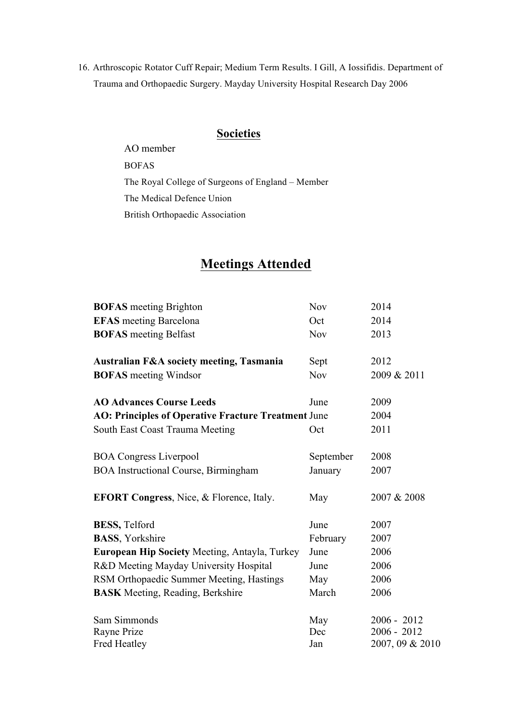16. Arthroscopic Rotator Cuff Repair; Medium Term Results. I Gill, A Iossifidis. Department of Trauma and Orthopaedic Surgery. Mayday University Hospital Research Day 2006

#### **Societies**

AO member BOFAS The Royal College of Surgeons of England – Member The Medical Defence Union British Orthopaedic Association

## **Meetings Attended**

| <b>BOFAS</b> meeting Brighton                              | <b>Nov</b> | 2014            |
|------------------------------------------------------------|------------|-----------------|
| <b>EFAS</b> meeting Barcelona                              | Oct        | 2014            |
| <b>BOFAS</b> meeting Belfast                               | <b>Nov</b> | 2013            |
| <b>Australian F&amp;A society meeting, Tasmania</b>        | Sept       | 2012            |
| <b>BOFAS</b> meeting Windsor                               | <b>Nov</b> | 2009 & 2011     |
| <b>AO Advances Course Leeds</b>                            | June       | 2009            |
| <b>AO: Principles of Operative Fracture Treatment June</b> |            | 2004            |
| South East Coast Trauma Meeting                            | Oct        | 2011            |
| <b>BOA Congress Liverpool</b>                              | September  | 2008            |
| <b>BOA</b> Instructional Course, Birmingham                | January    | 2007            |
| <b>EFORT Congress, Nice, &amp; Florence, Italy.</b>        | May        | 2007 & 2008     |
| <b>BESS</b> , Telford                                      | June       | 2007            |
| <b>BASS</b> , Yorkshire                                    | February   | 2007            |
| European Hip Society Meeting, Antayla, Turkey              | June       | 2006            |
| R&D Meeting Mayday University Hospital                     | June       | 2006            |
| RSM Orthopaedic Summer Meeting, Hastings                   | May        | 2006            |
| <b>BASK</b> Meeting, Reading, Berkshire                    | March      | 2006            |
| Sam Simmonds                                               | May        | $2006 - 2012$   |
| Rayne Prize                                                | Dec        | $2006 - 2012$   |
| <b>Fred Heatley</b>                                        | Jan        | 2007, 09 & 2010 |